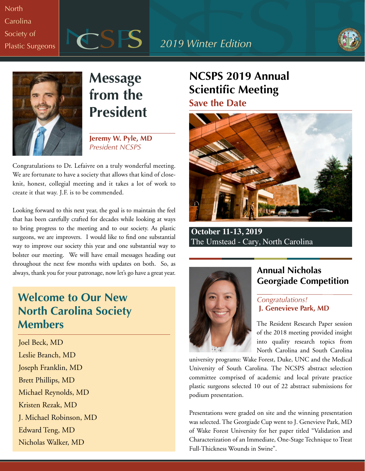# **North Carolina** Society of







# **Message from the President**

**Jeremy W. Pyle, MD** *President NCSPS*

Congratulations to Dr. Lefaivre on a truly wonderful meeting. We are fortunate to have a society that allows that kind of closeknit, honest, collegial meeting and it takes a lot of work to create it that way. J.F. is to be commended.

Looking forward to this next year, the goal is to maintain the feel that has been carefully crafted for decades while looking at ways to bring progress to the meeting and to our society. As plastic surgeons, we are improvers. I would like to find one substantial way to improve our society this year and one substantial way to bolster our meeting. We will have email messages heading out throughout the next few months with updates on both. So, as always, thank you for your patronage, now let's go have a great year.

## **Welcome to Our New North Carolina Society Members**

Joel Beck, MD Leslie Branch, MD Joseph Franklin, MD Brett Phillips, MD Michael Reynolds, MD Kristen Rezak, MD J. Michael Robinson, MD Edward Teng, MD Nicholas Walker, MD

## **NCSPS 2019 Annual Scientific Meeting Save the Date**



 **October 11-13, 2019** The Umstead - Cary, North Carolina



### **Annual Nicholas Georgiade Competition**

### *Congratulations!* **J. Genevieve Park, MD**

The Resident Research Paper session of the 2018 meeting provided insight into quality research topics from North Carolina and South Carolina

university programs: Wake Forest, Duke, UNC and the Medical University of South Carolina. The NCSPS abstract selection committee comprised of academic and local private practice plastic surgeons selected 10 out of 22 abstract submissions for podium presentation.

Presentations were graded on site and the winning presentation was selected. The Georgiade Cup went to J. Genevieve Park, MD of Wake Forest University for her paper titled "Validation and Characterization of an Immediate, One-Stage Technique to Treat Full-Thickness Wounds in Swine".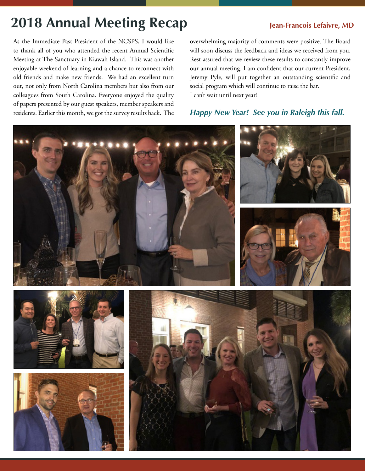# **2018 Annual Meeting Recap Jean-Francois Lefaivre, MD**

As the Immediate Past President of the NCSPS, I would like to thank all of you who attended the recent Annual Scientific Meeting at The Sanctuary in Kiawah Island. This was another enjoyable weekend of learning and a chance to reconnect with old friends and make new friends. We had an excellent turn out, not only from North Carolina members but also from our colleagues from South Carolina. Everyone enjoyed the quality of papers presented by our guest speakers, member speakers and residents. Earlier this month, we got the survey results back. The overwhelming majority of comments were positive. The Board will soon discuss the feedback and ideas we received from you. Rest assured that we review these results to constantly improve our annual meeting. I am confident that our current President, Jeremy Pyle, will put together an outstanding scientific and social program which will continue to raise the bar. I can't wait until next year!

### *Happy New Year! See you in Raleigh this fall.*